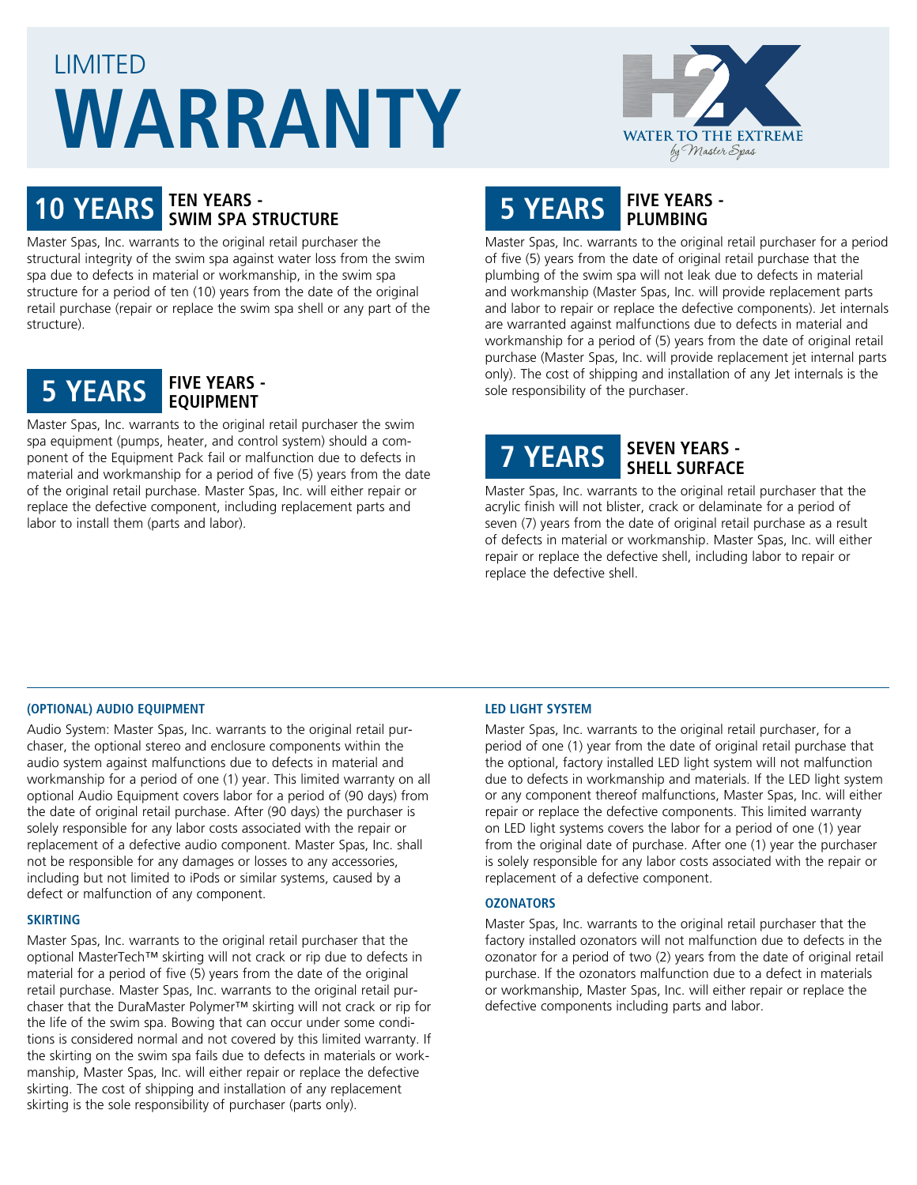# LIMITED **WARRANTY**



# **10 YEARS TEN YEARS - SWIM SPA STRUCTURE**

Master Spas, Inc. warrants to the original retail purchaser the structural integrity of the swim spa against water loss from the swim spa due to defects in material or workmanship, in the swim spa structure for a period of ten (10) years from the date of the original retail purchase (repair or replace the swim spa shell or any part of the structure).



Master Spas, Inc. warrants to the original retail purchaser the swim spa equipment (pumps, heater, and control system) should a component of the Equipment Pack fail or malfunction due to defects in material and workmanship for a period of five (5) years from the date of the original retail purchase. Master Spas, Inc. will either repair or replace the defective component, including replacement parts and labor to install them (parts and labor).

### **5 YEARS FIVE YEARS - PLUMBING**

Master Spas, Inc. warrants to the original retail purchaser for a period of five (5) years from the date of original retail purchase that the plumbing of the swim spa will not leak due to defects in material and workmanship (Master Spas, Inc. will provide replacement parts and labor to repair or replace the defective components). Jet internals are warranted against malfunctions due to defects in material and workmanship for a period of (5) years from the date of original retail purchase (Master Spas, Inc. will provide replacement jet internal parts only). The cost of shipping and installation of any Jet internals is the sole responsibility of the purchaser.

## **7 YEARS SEVEN YEARS - SHELL SURFACE**

Master Spas, Inc. warrants to the original retail purchaser that the acrylic finish will not blister, crack or delaminate for a period of seven (7) years from the date of original retail purchase as a result of defects in material or workmanship. Master Spas, Inc. will either repair or replace the defective shell, including labor to repair or replace the defective shell.

#### **(OPTIONAL) AUDIO EQUIPMENT**

Audio System: Master Spas, Inc. warrants to the original retail purchaser, the optional stereo and enclosure components within the audio system against malfunctions due to defects in material and workmanship for a period of one (1) year. This limited warranty on all optional Audio Equipment covers labor for a period of (90 days) from the date of original retail purchase. After (90 days) the purchaser is solely responsible for any labor costs associated with the repair or replacement of a defective audio component. Master Spas, Inc. shall not be responsible for any damages or losses to any accessories, including but not limited to iPods or similar systems, caused by a defect or malfunction of any component.

#### **SKIRTING**

Master Spas, Inc. warrants to the original retail purchaser that the optional MasterTech™ skirting will not crack or rip due to defects in material for a period of five (5) years from the date of the original retail purchase. Master Spas, Inc. warrants to the original retail purchaser that the DuraMaster Polymer™ skirting will not crack or rip for the life of the swim spa. Bowing that can occur under some conditions is considered normal and not covered by this limited warranty. If the skirting on the swim spa fails due to defects in materials or workmanship, Master Spas, Inc. will either repair or replace the defective skirting. The cost of shipping and installation of any replacement skirting is the sole responsibility of purchaser (parts only).

#### **LED LIGHT SYSTEM**

Master Spas, Inc. warrants to the original retail purchaser, for a period of one (1) year from the date of original retail purchase that the optional, factory installed LED light system will not malfunction due to defects in workmanship and materials. If the LED light system or any component thereof malfunctions, Master Spas, Inc. will either repair or replace the defective components. This limited warranty on LED light systems covers the labor for a period of one (1) year from the original date of purchase. After one (1) year the purchaser is solely responsible for any labor costs associated with the repair or replacement of a defective component.

#### **OZONATORS**

Master Spas, Inc. warrants to the original retail purchaser that the factory installed ozonators will not malfunction due to defects in the ozonator for a period of two (2) years from the date of original retail purchase. If the ozonators malfunction due to a defect in materials or workmanship, Master Spas, Inc. will either repair or replace the defective components including parts and labor.